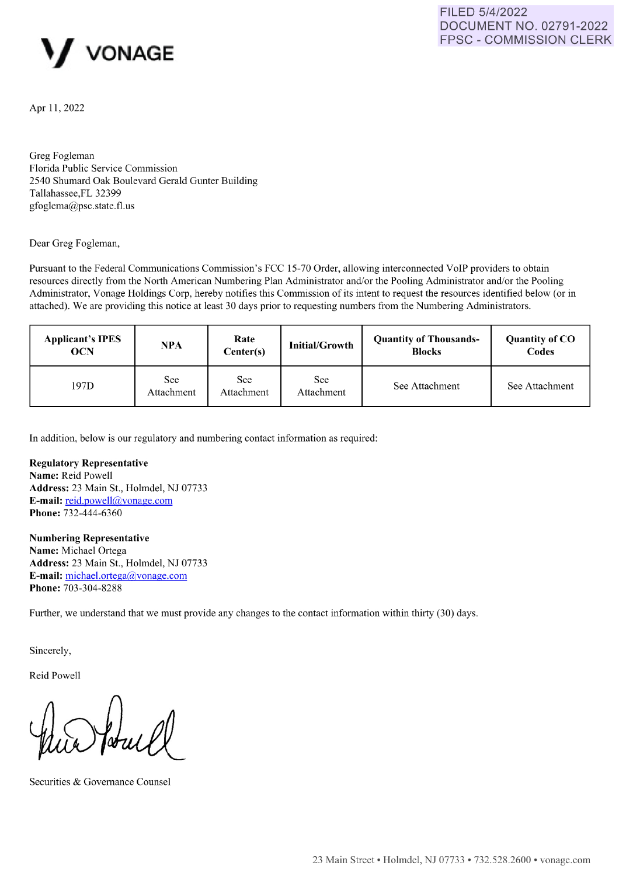



Apr 11, 2022

Greg Fogleman Florida Public Service Commission 2540 Shumard Oak Boulevard Gerald Gunter Building Tallahassee,FL 32399 gfoglema@psc.state.fl.us

Dear Greg Fogleman,

Pursuant to the Federal Communications Commission's FCC 15-70 Order, allowing interconnected VoIP providers to obtain resources directly from the North American Numbering Plan Administrator and/or the Pooling Administrator and/or the Pooling Administrator, Vonage Holdings Corp, hereby notifies this Commission of its intent to request the resources identified below (or in attached). We are providing this notice at least 30 days prior to requesting numbers from the Numbering Administrators.

| <b>Applicant's IPES</b><br><b>OCN</b> | <b>NPA</b>        | Rate<br>Center(s) | <b>Initial/Growth</b> | <b>Quantity of Thousands-</b><br><b>Blocks</b> | <b>Quantity of CO</b><br>Codes |
|---------------------------------------|-------------------|-------------------|-----------------------|------------------------------------------------|--------------------------------|
| 197D                                  | See<br>Attachment | See<br>Attachment | See<br>Attachment     | See Attachment                                 | See Attachment                 |

In addition, below is our regulatory and numbering contact information as required:

## **Regulatory Representative**

**Name:** Reid Powell **Address:** 23 Main St., Holmdel, NJ 07733 **E-mail:** [reid.powell@vonage.com](mailto:%20reid.powell@vonage.com)  Phone: 732-444-6360

## **Numbering Representative**

**Name:** Michael Ortega **Address:** 23 Main St., Holmdel, NJ 07733 **E-mail:** [michael.ortega@vonage.com](mailto:%20michael.ortega@vonage.com)  Phone: 703-304-8288

Further, we understand that we must provide any changes to the contact information within thirty (30) days.

Sincerely,

Reid Powell

Securities & Governance Counsel